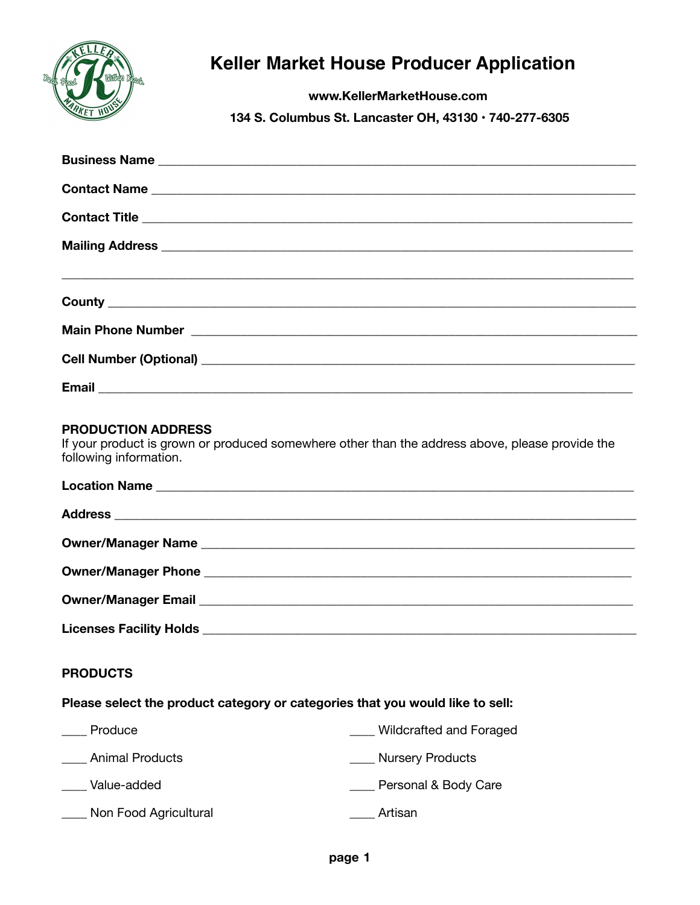

# **Keller Market House Producer Application**

**www.KellerMarketHouse.com** 

 **134 S. Columbus St. Lancaster OH, 43130 • 740-277-6305** 

| Contact Name                                            |
|---------------------------------------------------------|
|                                                         |
|                                                         |
|                                                         |
|                                                         |
|                                                         |
|                                                         |
|                                                         |
|                                                         |
|                                                         |
|                                                         |
|                                                         |
| Cell Number (Optional)<br><u>Cell Number (Optional)</u> |
|                                                         |
|                                                         |
|                                                         |

## **PRODUCTION ADDRESS**

If your product is grown or produced somewhere other than the address above, please provide the following information.

| Owner/Manager Email <b>Discovery According to the Contract Over According to the Contract Over According to the Contract Over According to the Contract Over According to the Contract Over According to the Contract Over Accor</b> |
|--------------------------------------------------------------------------------------------------------------------------------------------------------------------------------------------------------------------------------------|
|                                                                                                                                                                                                                                      |
|                                                                                                                                                                                                                                      |

# **PRODUCTS**

#### **Please select the product category or categories that you would like to sell:**

| Produce                | <b>Wildcrafted and Foraged</b> |
|------------------------|--------------------------------|
| <b>Animal Products</b> | <b>Nursery Products</b>        |
| Value-added            | Personal & Body Care           |
| Non Food Agricultural  | Artisan                        |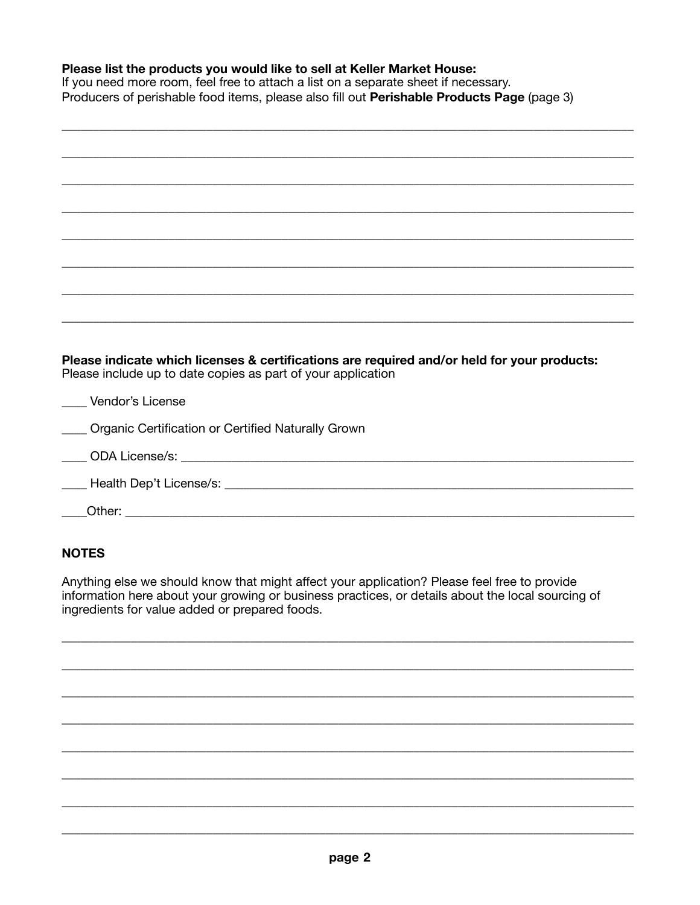### Please list the products you would like to sell at Keller Market House:

If you need more room, feel free to attach a list on a separate sheet if necessary. Producers of perishable food items, please also fill out Perishable Products Page (page 3)

| Please indicate which licenses & certifications are required and/or held for your products:<br>Please include up to date copies as part of your application |
|-------------------------------------------------------------------------------------------------------------------------------------------------------------|
| Vendor's License                                                                                                                                            |
| ____ Organic Certification or Certified Naturally Grown                                                                                                     |
|                                                                                                                                                             |
|                                                                                                                                                             |
|                                                                                                                                                             |
|                                                                                                                                                             |

# **NOTES**

Anything else we should know that might affect your application? Please feel free to provide information here about your growing or business practices, or details about the local sourcing of ingredients for value added or prepared foods.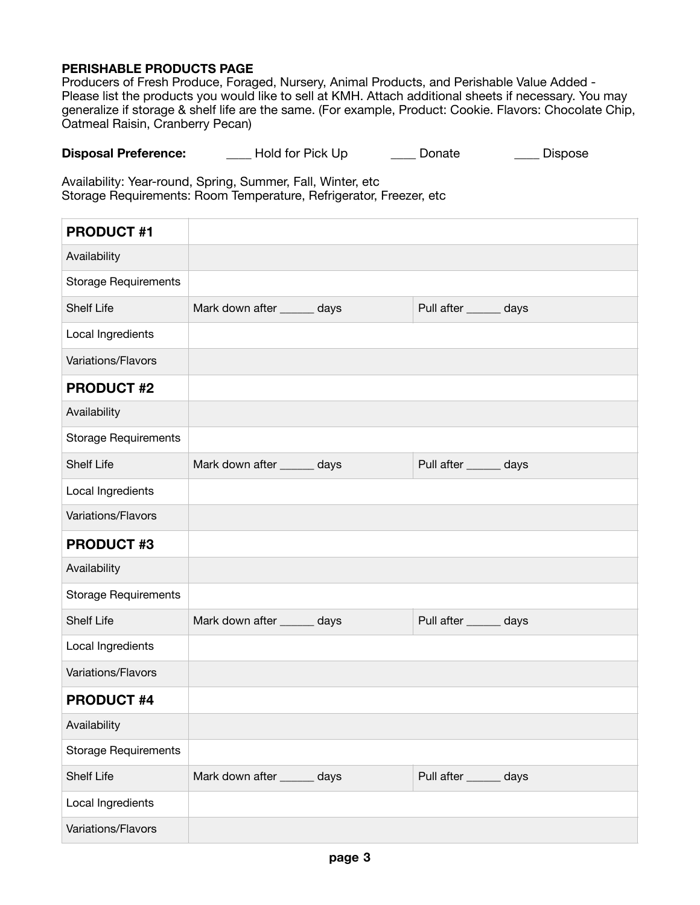#### **PERISHABLE PRODUCTS PAGE**

Producers of Fresh Produce, Foraged, Nursery, Animal Products, and Perishable Value Added - Please list the products you would like to sell at KMH. Attach additional sheets if necessary. You may generalize if storage & shelf life are the same. (For example, Product: Cookie. Flavors: Chocolate Chip, Oatmeal Raisin, Cranberry Pecan)

| <b>Disposal Preference:</b> | Hold for Pick Up | Donate | <b>Dispose</b> |
|-----------------------------|------------------|--------|----------------|
|-----------------------------|------------------|--------|----------------|

Availability: Year-round, Spring, Summer, Fall, Winter, etc Storage Requirements: Room Temperature, Refrigerator, Freezer, etc

| <b>PRODUCT #1</b>           |                             |                        |  |
|-----------------------------|-----------------------------|------------------------|--|
| Availability                |                             |                        |  |
| <b>Storage Requirements</b> |                             |                        |  |
| <b>Shelf Life</b>           | Mark down after _____ days  | Pull after ______ days |  |
| Local Ingredients           |                             |                        |  |
| Variations/Flavors          |                             |                        |  |
| <b>PRODUCT #2</b>           |                             |                        |  |
| Availability                |                             |                        |  |
| <b>Storage Requirements</b> |                             |                        |  |
| <b>Shelf Life</b>           | Mark down after ______ days | Pull after ______ days |  |
| Local Ingredients           |                             |                        |  |
| Variations/Flavors          |                             |                        |  |
|                             |                             |                        |  |
| <b>PRODUCT #3</b>           |                             |                        |  |
| Availability                |                             |                        |  |
| <b>Storage Requirements</b> |                             |                        |  |
| <b>Shelf Life</b>           | Mark down after ______ days | Pull after ______ days |  |
| Local Ingredients           |                             |                        |  |
| Variations/Flavors          |                             |                        |  |
| <b>PRODUCT #4</b>           |                             |                        |  |
| Availability                |                             |                        |  |
| <b>Storage Requirements</b> |                             |                        |  |
| <b>Shelf Life</b>           | Mark down after ______ days | Pull after ______ days |  |
| Local Ingredients           |                             |                        |  |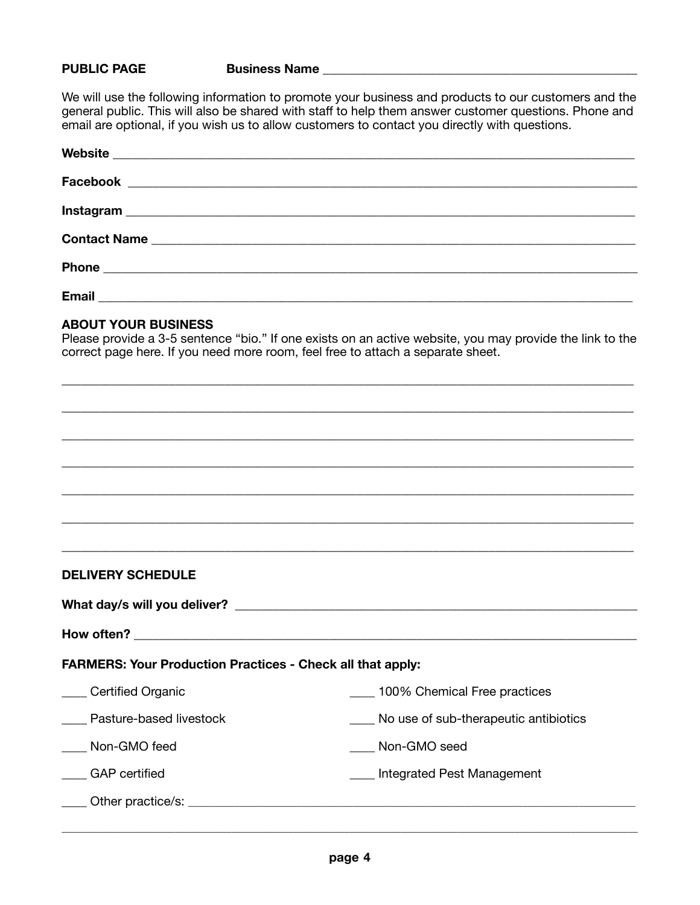#### **PUBLIC PAGE Business Name**

We will use the following information to promote your business and products to our customers and the general public. This will also be shared with staff to help them answer customer questions. Phone and email are optional, if you wish us to allow customers to contact you directly with questions.

| <b>Email</b> |  |  |
|--------------|--|--|

#### **ABOUT YOUR BUSINESS**

Please provide a 3-5 sentence "bio." If one exists on an active website, you may provide the link to the correct page here. If you need more room, feel free to attach a separate sheet.

\_\_\_\_\_\_\_\_\_\_\_\_\_\_\_\_\_\_\_\_\_\_\_\_\_\_\_\_\_\_\_\_\_\_\_\_\_\_\_\_\_\_\_\_\_\_\_\_\_\_\_\_\_\_\_\_\_\_\_\_\_\_\_\_\_\_\_\_\_\_\_\_\_\_\_\_\_\_\_\_\_\_\_\_\_\_\_\_\_\_\_

\_\_\_\_\_\_\_\_\_\_\_\_\_\_\_\_\_\_\_\_\_\_\_\_\_\_\_\_\_\_\_\_\_\_\_\_\_\_\_\_\_\_\_\_\_\_\_\_\_\_\_\_\_\_\_\_\_\_\_\_\_\_\_\_\_\_\_\_\_\_\_\_\_\_\_\_\_\_\_\_\_\_\_\_\_\_\_\_\_\_\_

\_\_\_\_\_\_\_\_\_\_\_\_\_\_\_\_\_\_\_\_\_\_\_\_\_\_\_\_\_\_\_\_\_\_\_\_\_\_\_\_\_\_\_\_\_\_\_\_\_\_\_\_\_\_\_\_\_\_\_\_\_\_\_\_\_\_\_\_\_\_\_\_\_\_\_\_\_\_\_\_\_\_\_\_\_\_\_\_\_\_\_

\_\_\_\_\_\_\_\_\_\_\_\_\_\_\_\_\_\_\_\_\_\_\_\_\_\_\_\_\_\_\_\_\_\_\_\_\_\_\_\_\_\_\_\_\_\_\_\_\_\_\_\_\_\_\_\_\_\_\_\_\_\_\_\_\_\_\_\_\_\_\_\_\_\_\_\_\_\_\_\_\_\_\_\_\_\_\_\_\_\_\_

\_\_\_\_\_\_\_\_\_\_\_\_\_\_\_\_\_\_\_\_\_\_\_\_\_\_\_\_\_\_\_\_\_\_\_\_\_\_\_\_\_\_\_\_\_\_\_\_\_\_\_\_\_\_\_\_\_\_\_\_\_\_\_\_\_\_\_\_\_\_\_\_\_\_\_\_\_\_\_\_\_\_\_\_\_\_\_\_\_\_\_

\_\_\_\_\_\_\_\_\_\_\_\_\_\_\_\_\_\_\_\_\_\_\_\_\_\_\_\_\_\_\_\_\_\_\_\_\_\_\_\_\_\_\_\_\_\_\_\_\_\_\_\_\_\_\_\_\_\_\_\_\_\_\_\_\_\_\_\_\_\_\_\_\_\_\_\_\_\_\_\_\_\_\_\_\_\_\_\_\_\_\_

\_\_\_\_\_\_\_\_\_\_\_\_\_\_\_\_\_\_\_\_\_\_\_\_\_\_\_\_\_\_\_\_\_\_\_\_\_\_\_\_\_\_\_\_\_\_\_\_\_\_\_\_\_\_\_\_\_\_\_\_\_\_\_\_\_\_\_\_\_\_\_\_\_\_\_\_\_\_\_\_\_\_\_\_\_\_\_\_\_\_\_

#### **DELIVERY SCHEDULE**

| <b>FARMERS: Your Production Practices - Check all that apply:</b> |                                       |  |  |
|-------------------------------------------------------------------|---------------------------------------|--|--|
| <b>Certified Organic</b>                                          | 100% Chemical Free practices          |  |  |
| Pasture-based livestock                                           | No use of sub-therapeutic antibiotics |  |  |
| Non-GMO feed                                                      | Non-GMO seed                          |  |  |
| <b>GAP</b> certified                                              | Integrated Pest Management            |  |  |
|                                                                   |                                       |  |  |
|                                                                   |                                       |  |  |